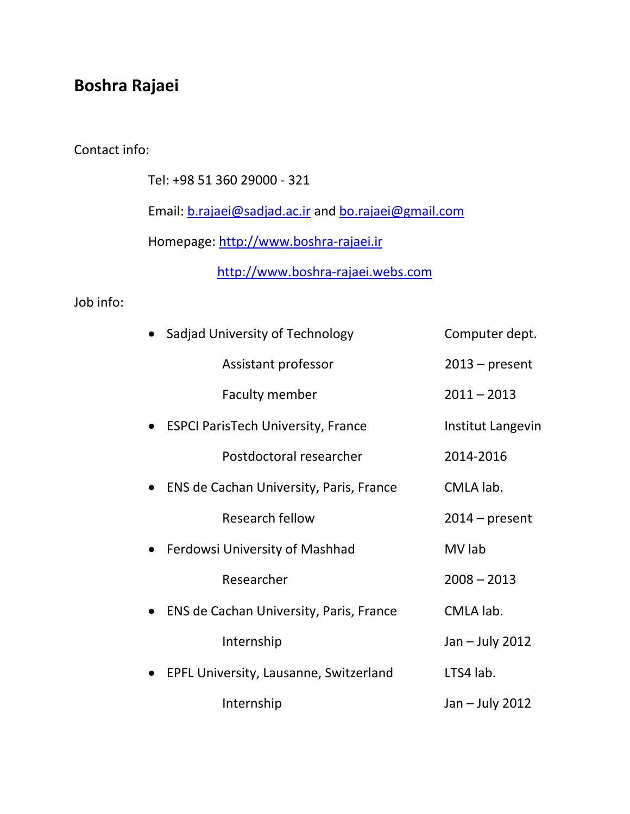## **Boshra Rajaei**

## Contact info:

Tel: +98 51 360 29000 - 321

Email: [b.rajaei@sadjad.ac.ir](mailto:b.rajaei@sadjad.ac.ir) and [bo.rajaei@gmail.com](mailto:bo.rajaei@gmail.com)

Homepage: [http://www.boshra-rajaei.ir](http://www.boshra-rajaei.ir/)

[http://www.boshra-rajaei.webs.com](http://www.boshra-rajaei.webs.com/)

## Job info:

| Sadjad University of Technology           | Computer dept.    |
|-------------------------------------------|-------------------|
| Assistant professor                       | $2013$ – present  |
| <b>Faculty member</b>                     | $2011 - 2013$     |
| <b>ESPCI ParisTech University, France</b> | Institut Langevin |
| Postdoctoral researcher                   | 2014-2016         |
| ENS de Cachan University, Paris, France   | CMLA lab.         |
| <b>Research fellow</b>                    | $2014$ – present  |
| Ferdowsi University of Mashhad            | MV lab            |
| Researcher                                | $2008 - 2013$     |
| ENS de Cachan University, Paris, France   | CMLA lab.         |
| Internship                                | Jan - July 2012   |
| EPFL University, Lausanne, Switzerland    | LTS4 lab.         |
| Internship                                | Jan - July 2012   |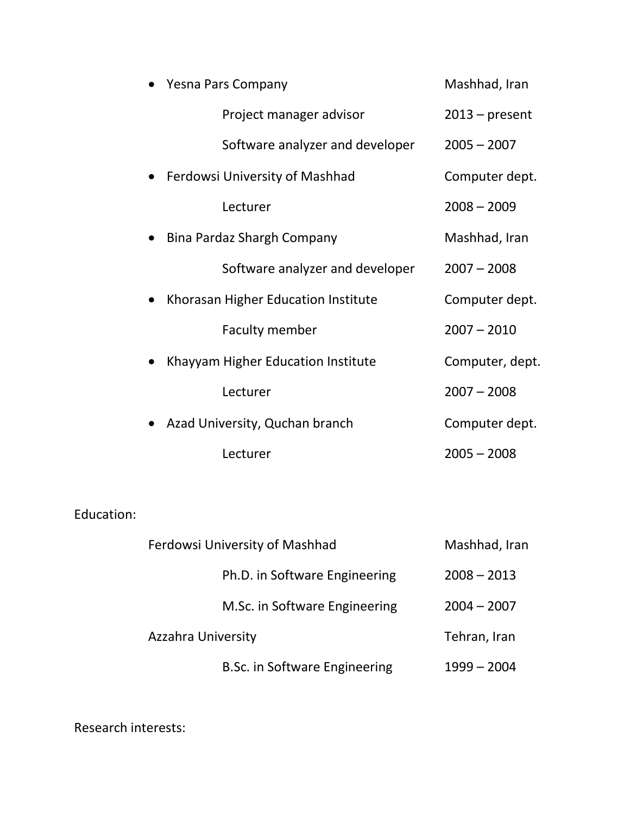| <b>Yesna Pars Company</b>           | Mashhad, Iran    |
|-------------------------------------|------------------|
| Project manager advisor             | $2013$ – present |
| Software analyzer and developer     | $2005 - 2007$    |
| Ferdowsi University of Mashhad      | Computer dept.   |
| Lecturer                            | $2008 - 2009$    |
| Bina Pardaz Shargh Company          | Mashhad, Iran    |
| Software analyzer and developer     | $2007 - 2008$    |
| Khorasan Higher Education Institute | Computer dept.   |
| <b>Faculty member</b>               | $2007 - 2010$    |
| Khayyam Higher Education Institute  | Computer, dept.  |
| Lecturer                            | $2007 - 2008$    |
| Azad University, Quchan branch      | Computer dept.   |
| Lecturer                            | $2005 - 2008$    |

Education:

| Ferdowsi University of Mashhad | Mashhad, Iran |
|--------------------------------|---------------|
| Ph.D. in Software Engineering  | $2008 - 2013$ |
| M.Sc. in Software Engineering  | $2004 - 2007$ |
| <b>Azzahra University</b>      | Tehran, Iran  |
| B.Sc. in Software Engineering  | $1999 - 2004$ |

Research interests: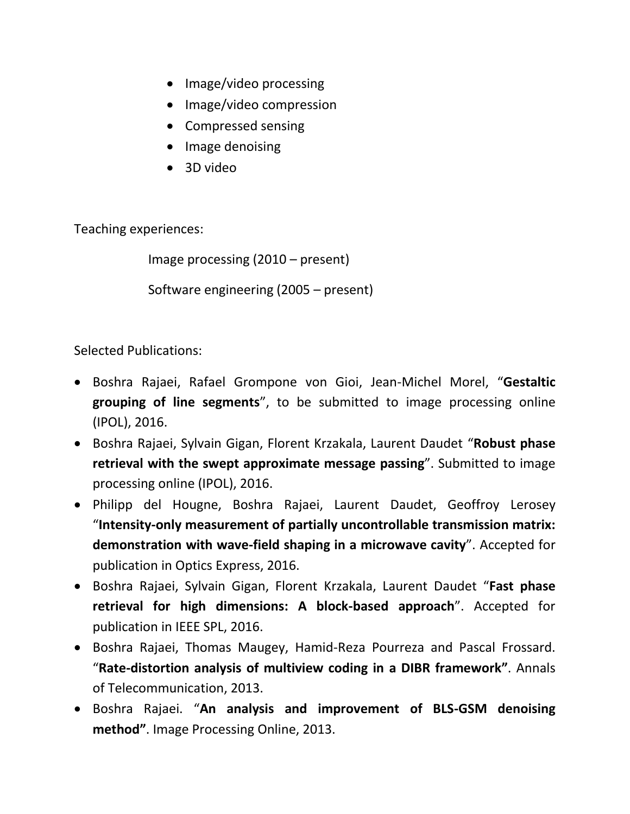- Image/video processing
- Image/video compression
- Compressed sensing
- Image denoising
- 3D video

Teaching experiences:

Image processing (2010 – present)

Software engineering (2005 – present)

Selected Publications:

- Boshra Rajaei, Rafael Grompone von Gioi, Jean-Michel Morel, "**Gestaltic grouping of line segments**", to be submitted to image processing online (IPOL), 2016.
- Boshra Rajaei, Sylvain Gigan, Florent Krzakala, Laurent Daudet "**Robust phase retrieval with the swept approximate message passing**". Submitted to image processing online (IPOL), 2016.
- Philipp del Hougne, Boshra Rajaei, Laurent Daudet, Geoffroy Lerosey "**Intensity-only measurement of partially uncontrollable transmission matrix: demonstration with wave-field shaping in a microwave cavity**". Accepted for publication in Optics Express, 2016.
- Boshra Rajaei, Sylvain Gigan, Florent Krzakala, Laurent Daudet "**Fast phase retrieval for high dimensions: A block-based approach**". Accepted for publication in IEEE SPL, 2016.
- Boshra Rajaei, Thomas Maugey, Hamid-Reza Pourreza and Pascal Frossard. "**Rate-distortion analysis of multiview coding in a DIBR framework"**. Annals of Telecommunication, 2013.
- Boshra Rajaei. "**An analysis and improvement of BLS-GSM denoising method"**. Image Processing Online, 2013.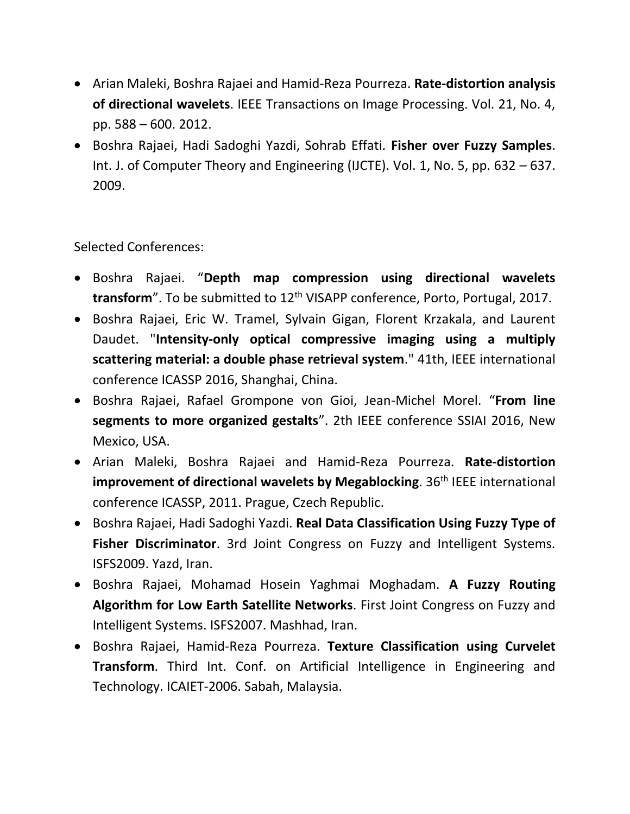- Arian Maleki, Boshra Rajaei and Hamid-Reza Pourreza. **Rate-distortion analysis of directional wavelets**. IEEE Transactions on Image Processing. Vol. 21, No. 4, pp. 588 – 600. 2012.
- Boshra Rajaei, Hadi Sadoghi Yazdi, Sohrab Effati. **Fisher over Fuzzy Samples**. Int. J. of Computer Theory and Engineering (IJCTE). Vol. 1, No. 5, pp. 632 – 637. 2009.

Selected Conferences:

- Boshra Rajaei. "**Depth map compression using directional wavelets**  transform". To be submitted to 12<sup>th</sup> VISAPP conference, Porto, Portugal, 2017.
- Boshra Rajaei, Eric W. Tramel, Sylvain Gigan, Florent Krzakala, and Laurent Daudet. "**Intensity-only optical compressive imaging using a multiply scattering material: a double phase retrieval system**." 41th, IEEE international conference ICASSP 2016, Shanghai, China.
- Boshra Rajaei, Rafael Grompone von Gioi, Jean-Michel Morel. "**From line segments to more organized gestalts**". 2th IEEE conference SSIAI 2016, New Mexico, USA.
- Arian Maleki, Boshra Rajaei and Hamid-Reza Pourreza. **Rate-distortion improvement of directional wavelets by Megablocking.** 36<sup>th</sup> IEEE international conference ICASSP, 2011. Prague, Czech Republic.
- Boshra Rajaei, Hadi Sadoghi Yazdi. **Real Data Classification Using Fuzzy Type of Fisher Discriminator**. 3rd Joint Congress on Fuzzy and Intelligent Systems. ISFS2009. Yazd, Iran.
- Boshra Rajaei, Mohamad Hosein Yaghmai Moghadam. **A Fuzzy Routing Algorithm for Low Earth Satellite Networks**. First Joint Congress on Fuzzy and Intelligent Systems. ISFS2007. Mashhad, Iran.
- Boshra Rajaei, Hamid-Reza Pourreza. **Texture Classification using Curvelet Transform**. Third Int. Conf. on Artificial Intelligence in Engineering and Technology. ICAIET-2006. Sabah, Malaysia.